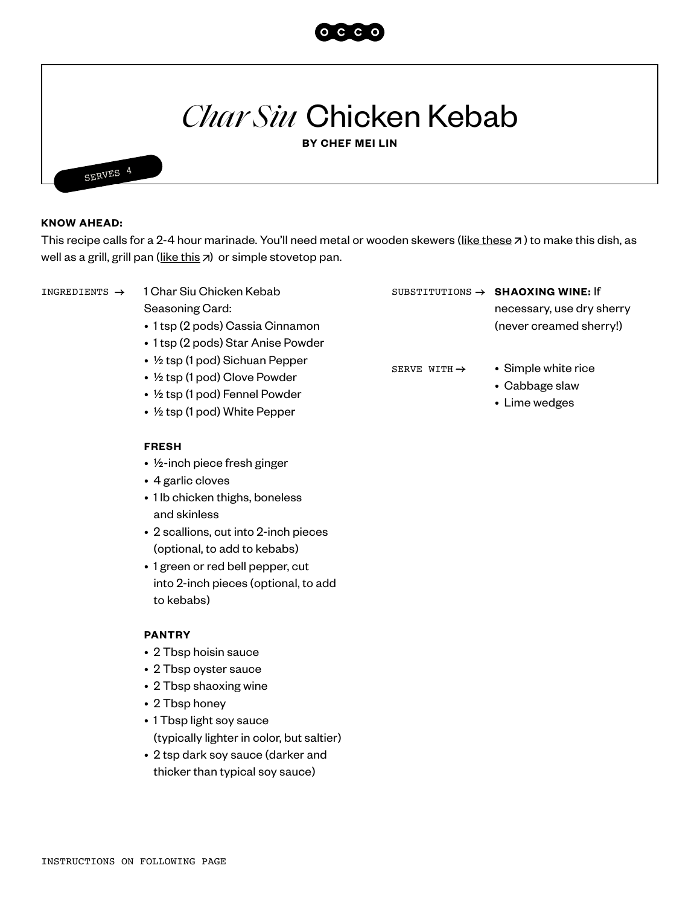

# *Char Siu* Chicken Kebab

**BY CHEF MEI LIN**



### **KNOW AHEAD:**

This recipe calls for a 2-4 hour marinade. You'll need metal or wooden skewers ([like these](https://www.amazon.com/Stainless-Brazilian-Barbecue-Skewers-Koubideh/dp/B083NGVM7W/ref=sr_1_3?dchild=1&gclid=Cj0KCQiAjKqABhDLARIsABbJrGltcaIqEFcN1mkgyBlFpeG4GiS7DjPAgOV5nZCXXAfJOEP155KXIhUaAokBEALw_wcB&hvadid=446561625541&hvdev=c&hvlocphy=9061107&hvnetw=g&hvqmt=e&hvrand=5083522154497806068&hvtargid=kwd-427718177022&hydadcr=5791_9976754&keywords=flat+skewers+for+kabobs&qid=1611330266&sr=8-3&tag=googhydr-20)  $\pi$ ) to make this dish, as well as a grill, grill pan [\(like this](https://www.lodgecastiron.com/product/square-cast-iron-grill-pan?sku=L8SGP3)  $\overline{z}$ [\)](https://www.lodgecastiron.com/product/square-cast-iron-grill-pan?sku=L8SGP3) or simple stovetop pan.

1 Char Siu Chicken Kebab Seasoning Card:

- 1 tsp (2 pods) Cassia Cinnamon
- 1 tsp (2 pods) Star Anise Powder
- ½ tsp (1 pod) Sichuan Pepper
- ½ tsp (1 pod) Clove Powder
- ½ tsp (1 pod) Fennel Powder
- ½ tsp (1 pod) White Pepper

#### **FRESH**

- ½-inch piece fresh ginger
- 4 garlic cloves
- 1 lb chicken thighs, boneless and skinless
- 2 scallions, cut into 2-inch pieces (optional, to add to kebabs)
- 1 green or red bell pepper, cut into 2-inch pieces (optional, to add to kebabs)

### **PANTRY**

- 2 Tbsp hoisin sauce
- 2 Tbsp oyster sauce
- 2 Tbsp shaoxing wine
- 2 Tbsp honey
- 1 Tbsp light soy sauce (typically lighter in color, but saltier)
- 2 tsp dark soy sauce (darker and thicker than typical soy sauce)

INGREDIENTS → 1 Char Siu Chicken Kebab SUBSTITUTIONS → SHAOXING WINE: If

necessary, use dry sherry (never creamed sherry!)

SERVE WITH  $\rightarrow$ 

- Simple white rice
- Cabbage slaw
- Lime wedges